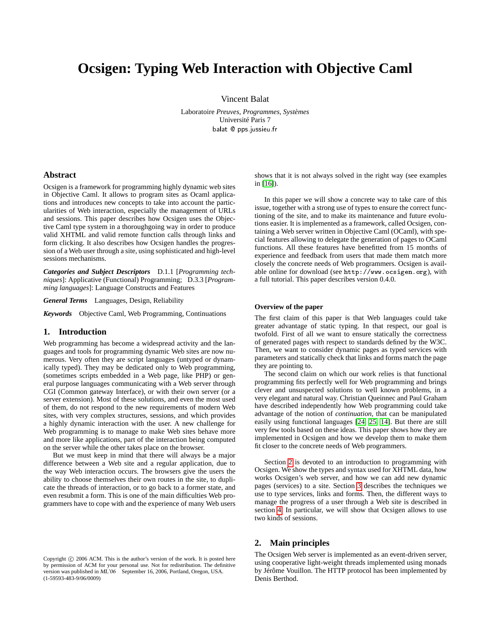# **Ocsigen: Typing Web Interaction with Objective Caml**

Vincent Balat

Laboratoire *Preuves, Programmes, Systèmes* Université Paris 7 balat @ pps.jussieu.fr

# **Abstract**

Ocsigen is a framework for programming highly dynamic web sites in Objective Caml. It allows to program sites as Ocaml applications and introduces new concepts to take into account the particularities of Web interaction, especially the management of URLs and sessions. This paper describes how Ocsigen uses the Objective Caml type system in a thoroughgoing way in order to produce valid XHTML and valid remote function calls through links and form clicking. It also describes how Ocsigen handles the progression of a Web user through a site, using sophisticated and high-level sessions mechanisms.

*Categories and Subject Descriptors* D.1.1 [*Programming techniques*]: Applicative (Functional) Programming; D.3.3 [*Programming languages*]: Language Constructs and Features

*General Terms* Languages, Design, Reliability

*Keywords* Objective Caml, Web Programming, Continuations

## **1. Introduction**

Web programming has become a widespread activity and the languages and tools for programming dynamic Web sites are now numerous. Very often they are script languages (untyped or dynamically typed). They may be dedicated only to Web programming, (sometimes scripts embedded in a Web page, like PHP) or general purpose languages communicating with a Web server through CGI (Common gateway Interface), or with their own server (or a server extension). Most of these solutions, and even the most used of them, do not respond to the new requirements of modern Web sites, with very complex structures, sessions, and which provides a highly dynamic interaction with the user. A new challenge for Web programming is to manage to make Web sites behave more and more like applications, part of the interaction being computed on the server while the other takes place on the browser.

But we must keep in mind that there will always be a major difference between a Web site and a regular application, due to the way Web interaction occurs. The browsers give the users the ability to choose themselves their own routes in the site, to duplicate the threads of interaction, or to go back to a former state, and even resubmit a form. This is one of the main difficulties Web programmers have to cope with and the experience of many Web users

shows that it is not always solved in the right way (see examples in [\[16\]](#page-9-0)).

In this paper we will show a concrete way to take care of this issue, together with a strong use of types to ensure the correct functioning of the site, and to make its maintenance and future evolutions easier. It is implemented as a framework, called Ocsigen, containing a Web server written in Objective Caml (OCaml), with special features allowing to delegate the generation of pages to OCaml functions. All these features have benefitted from 15 months of experience and feedback from users that made them match more closely the concrete needs of Web programmers. Ocsigen is available online for download (see http://www.ocsigen.org), with a full tutorial. This paper describes version 0.4.0.

#### **Overview of the paper**

The first claim of this paper is that Web languages could take greater advantage of static typing. In that respect, our goal is twofold. First of all we want to ensure statically the correctness of generated pages with respect to standards defined by the W3C. Then, we want to consider dynamic pages as typed services with parameters and statically check that links and forms match the page they are pointing to.

The second claim on which our work relies is that functional programming fits perfectly well for Web programming and brings clever and unsuspected solutions to well known problems, in a very elegant and natural way. Christian Queinnec and Paul Graham have described independently how Web programming could take advantage of the notion of *continuation*, that can be manipulated easily using functional languages [\[24,](#page-10-0) [25,](#page-10-1) [14\]](#page-9-1). But there are still very few tools based on these ideas. This paper shows how they are implemented in Ocsigen and how we develop them to make them fit closer to the concrete needs of Web programmers.

Section [2](#page-0-0) is devoted to an introduction to programming with Ocsigen. We show the types and syntax used for XHTML data, how works Ocsigen's web server, and how we can add new dynamic pages (services) to a site. Section [3](#page-3-0) describes the techniques we use to type services, links and forms. Then, the different ways to manage the progress of a user through a Web site is described in section [4.](#page-5-0) In particular, we will show that Ocsigen allows to use two kinds of sessions.

# <span id="page-0-0"></span>**2. Main principles**

The Ocsigen Web server is implemented as an event-driven server, using cooperative light-weight threads implemented using monads by Jérôme Vouillon. The HTTP protocol has been implemented by Denis Berthod.

Copyright  $\odot$  2006 ACM. This is the author's version of the work. It is posted here by permission of ACM for your personal use. Not for redistribution. The definitive version was published in ML'06 September 16, 2006, Portland, Oregon, USA. (1-59593-483-9/06/0009)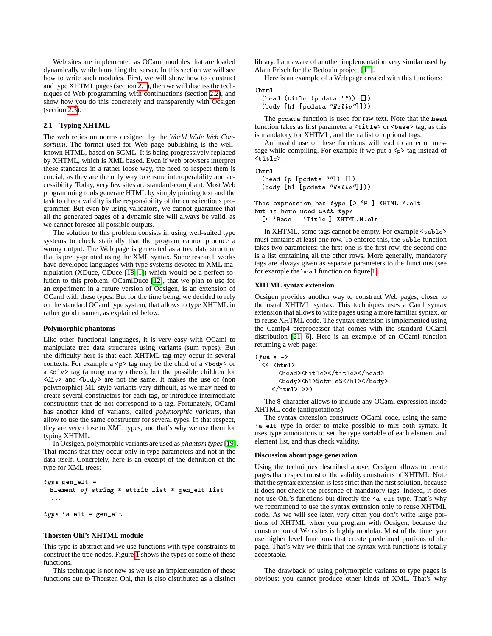Web sites are implemented as OCaml modules that are loaded dynamically while launching the server. In this section we will see how to write such modules. First, we will show how to construct and type XHTML pages (section [2.1\)](#page-1-0), then we will discuss the techniques of Web programming with continuations (section [2.2\)](#page-2-0), and show how you do this concretely and transparently with Ocsigen (section [2.3\)](#page-2-1).

## <span id="page-1-0"></span>**2.1 Typing XHTML**

The web relies on norms designed by the *World Wide Web Consortium*. The format used for Web page publishing is the wellknown HTML, based on SGML. It is being progressively replaced by XHTML, which is XML based. Even if web browsers interpret these standards in a rather loose way, the need to respect them is crucial, as they are the only way to ensure interoperability and accessibility. Today, very few sites are standard-compliant. Most Web programming tools generate HTML by simply printing text and the task to check validity is the responsibility of the conscientious programmer. But even by using validators, we cannot guarantee that all the generated pages of a dynamic site will always be valid, as we cannot foresee all possible outputs.

The solution to this problem consists in using well-suited type systems to check statically that the program cannot produce a wrong output. The Web page is generated as a tree data structure that is pretty-printed using the XML syntax. Some research works have developed languages with type systems devoted to XML manipulation (XDuce, CDuce [\[18,](#page-10-2) [1\]](#page-9-2)) which would be a perfect solution to this problem. OCamlDuce [\[12\]](#page-9-3), that we plan to use for an experiment in a future version of Ocsigen, is an extension of OCaml with these types. But for the time being, we decided to rely on the standard OCaml type system, that allows to type XHTML in rather good manner, as explained below.

### **Polymorphic phantoms**

Like other functional languages, it is very easy with OCaml to manipulate tree data structures using variants (sum types). But the difficulty here is that each XHTML tag may occur in several contexts. For example a  $\langle p \rangle$  tag may be the child of a  $\langle$  body> or a <div> tag (among many others), but the possible children for  $\langle \text{div} \rangle$  and  $\langle \text{body} \rangle$  are not the same. It makes the use of (non polymorphic) ML-style variants very difficult, as we may need to create several constructors for each tag, or introduce intermediate constructors that do not correspond to a tag. Fortunately, OCaml has another kind of variants, called *polymorphic variants*, that allow to use the same constructor for several types. In that respect, they are very close to XML types, and that's why we use them for typing XHTML.

In Ocsigen, polymorphic variants are used as *phantom types*[\[19\]](#page-10-3). That means that they occur only in type parameters and not in the data itself. Concretely, here is an excerpt of the definition of the type for XML trees:

```
type gen_elt =
 Element of string * attrib list * gen_elt list
| ...
type 'a elt = gen_elt
```
#### **Thorsten Ohl's XHTML module**

This type is abstract and we use functions with type constraints to construct the tree nodes. Figure [1](#page-2-2) shows the types of some of these functions.

This technique is not new as we use an implementation of these functions due to Thorsten Ohl, that is also distributed as a distinct library. I am aware of another implementation very similar used by Alain Frisch for the Bedouin project [\[11\]](#page-9-4).

Here is an example of a Web page created with this functions:

#### (html

(head (title (pcdata "")) []) (body [h1 [pcdata "Hello"]]))

The pcdata function is used for raw text. Note that the head function takes as first parameter a <title> or <br/>base> tag, as this is mandatory for XHTML, and then a list of optional tags.

An invalid use of these functions will lead to an error message while compiling. For example if we put a  $\langle p \rangle$  tag instead of <title>:

```
(html
 (head (p [pcdata ""]) [])
 (body [h1 [pcdata "Hello"]]))
```
This expression has  $type$  [>  $'P$  ] XHTML.M.elt but is here used with type [< `Base | `Title ] XHTML.M.elt

In XHTML, some tags cannot be empty. For example <table> must contains at least one row. To enforce this, the table function takes two parameters: the first one is the first row, the second one is a list containing all the other rows. More generally, mandatory tags are always given as separate parameters to the functions (see for example the head function on figure [1\)](#page-2-2).

## **XHTML syntax extension**

Ocsigen provides another way to construct Web pages, closer to the usual XHTML syntax. This techniques uses a Caml syntax extension that allows to write pages using a more familiar syntax, or to reuse XHTML code. The syntax extension is implemented using the Camlp4 preprocessor that comes with the standard OCaml distribution [\[21,](#page-10-4) [6\]](#page-9-5). Here is an example of an OCaml function returning a web page:

```
(fun s \rightarrow<< <math>html</math><head><title></title></head>
        <body><h1>$str:s$</h1></body>
     \langle/html> >>)
```
The \$ character allows to include any OCaml expression inside XHTML code (antiquotations).

The syntax extension constructs OCaml code, using the same 'a elt type in order to make possible to mix both syntax. It uses type annotations to set the type variable of each element and element list, and thus check validity.

#### **Discussion about page generation**

Using the techniques described above, Ocsigen allows to create pages that respect most of the validity constraints of XHTML. Note that the syntax extension is less strict than the first solution, because it does not check the presence of mandatory tags. Indeed, it does not use Ohl's functions but directly the 'a elt type. That's why we recommend to use the syntax extension only to reuse XHTML code. As we will see later, very often you don't write large portions of XHTML when you program with Ocsigen, because the construction of Web sites is highly modular. Most of the time, you use higher level functions that create predefined portions of the page. That's why we think that the syntax with functions is totally acceptable.

The drawback of using polymorphic variants to type pages is obvious: you cannot produce other kinds of XML. That's why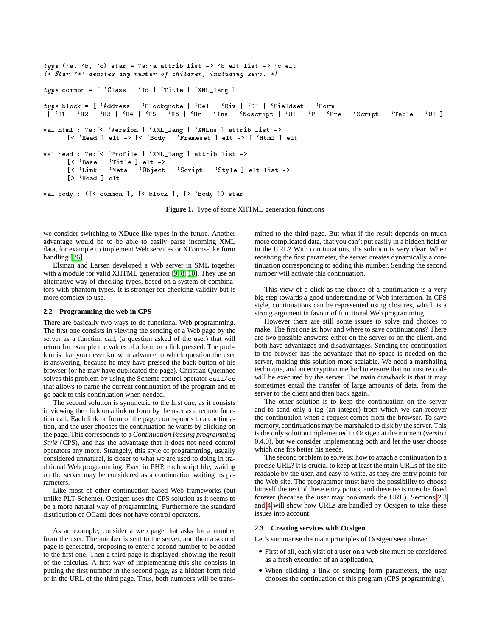```
type ('a, 'b, 'c) star = ?a:'a attrib list -> 'b elt list -> 'c elt
(* Star '*' denotes any number of children, including zero. *)
type common = [ 'Class | 'Id | 'Title | 'XML_lang ]
type block = [ `Address | `Blockquote | `Del | `Div | `Dl | `Fieldset | `Form
| `H1 | `H2 | `H3 | `H4 | `H5 | `H6 | `Hr | `Ins | `Noscript | `Ol | `P | `Pre | `Script | `Table | `Ul ]
val html : ?a: [< 'Version | 'XML_lang | 'XMLns ] attrib list ->
      [\langle 'Head ] elt -> [\langle 'Body | 'Frameset ] elt -> [\n 'Html ] elt
val head : ?a: [< 'Profile | 'XML_lang ] attrib list ->
      [< `Base | `Title ] elt ->
      [< `Link | `Meta | `Object | `Script | `Style ] elt list ->
      [> `Head ] elt
val body : ([< common ], [< block ], [> `Body ]) star
```
<span id="page-2-2"></span>**Figure 1.** Type of some XHTML generation functions

we consider switching to XDuce-like types in the future. Another advantage would be to be able to easily parse incoming XML data, for example to implement Web services or XForms-like form handling [\[26\]](#page-10-5).

Elsman and Larsen developed a Web server in SML together with a module for valid XHTML generation [\[9,](#page-9-6) [8,](#page-9-7) [10\]](#page-9-8). They use an alternative way of checking types, based on a system of combinators with phantom types. It is stronger for checking validity but is more complex to use.

## <span id="page-2-0"></span>**2.2 Programming the web in CPS**

There are basically two ways to do functional Web programming. The first one consists in viewing the sending of a Web page by the server as a function call, (a question asked of the user) that will return for example the values of a form or a link pressed. The problem is that you never know in advance to which question the user is answering, because he may have pressed the back button of his browser (or he may have duplicated the page). Christian Queinnec solves this problem by using the Scheme control operator call/cc that allows to name the current continuation of the program and to go back to this continuation when needed.

The second solution is symmetric to the first one, as it consists in viewing the click on a link or form by the user as a remote function call. Each link or form of the page corresponds to a continuation, and the user chooses the continuation he wants by clicking on the page. This corresponds to a *Continuation Passing programming Style* (CPS), and has the advantage that it does not need control operators any more. Strangely, this style of programming, usually considered unnatural, is closer to what we are used to doing in traditional Web programming. Even in PHP, each script file, waiting on the server may be considered as a continuation waiting its parameters.

Like most of other continuation-based Web frameworks (but unlike PLT Scheme), Ocsigen uses the CPS solution as it seems to be a more natural way of programming. Furthermore the standard distribution of OCaml does not have control operators.

As an example, consider a web page that asks for a number from the user. The number is sent to the server, and then a second page is generated, proposing to enter a second number to be added to the first one. Then a third page is displayed, showing the result of the calculus. A first way of implementing this site consists in putting the first number in the second page, as a hidden form field or in the URL of the third page. Thus, both numbers will be transmitted to the third page. But what if the result depends on much more complicated data, that you can't put easily in a hidden field or in the URL? With continuations, the solution is very clear. When receiving the first parameter, the server creates dynamically a continuation corresponding to adding this number. Sending the second number will activate this continuation.

This view of a click as the choice of a continuation is a very big step towards a good understanding of Web interaction. In CPS style, continuations can be represented using closures, which is a strong argument in favour of functional Web programming.

However there are still some issues to solve and choices to make. The first one is: how and where to save continuations? There are two possible answers: either on the server or on the client, and both have advantages and disadvantages. Sending the continuation to the browser has the advantage that no space is needed on the server, making this solution more scalable. We need a marshaling technique, and an encryption method to ensure that no unsure code will be executed by the server. The main drawback is that it may sometimes entail the transfer of large amounts of data, from the server to the client and then back again.

The other solution is to keep the continuation on the server and to send only a tag (an integer) from which we can recover the continuation when a request comes from the browser. To save memory, continuations may be marshaled to disk by the server. This is the only solution implemented in Ocsigen at the moment (version 0.4.0), but we consider implementing both and let the user choose which one fits better his needs.

The second problem to solve is: how to attach a continuation to a precise URL? It is crucial to keep at least the main URLs of the site readable by the user, and easy to write, as they are entry points for the Web site. The programmer must have the possibility to choose himself the text of these entry points, and these texts must be fixed forever (because the user may bookmark the URL). Sections [2.3](#page-2-1) and [4](#page-5-0) will show how URLs are handled by Ocsigen to take these issues into account.

## <span id="page-2-1"></span>**2.3 Creating services with Ocsigen**

Let's summarise the main principles of Ocsigen seen above:

- First of all, each visit of a user on a web site must be considered as a fresh execution of an application,
- When clicking a link or sending form parameters, the user chooses the continuation of this program (CPS programming),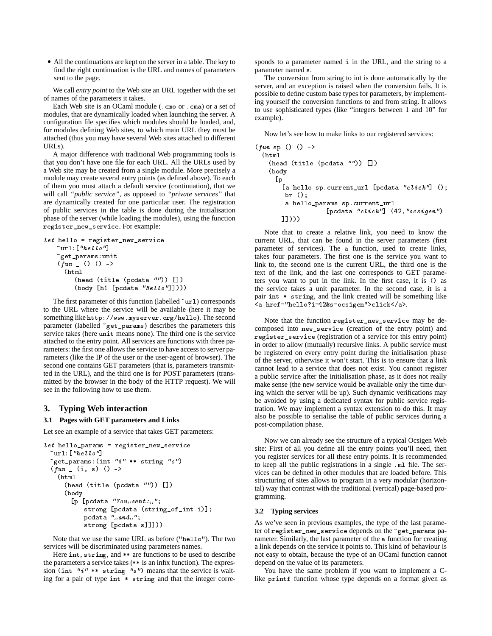• All the continuations are kept on the server in a table. The key to find the right continuation is the URL and names of parameters sent to the page.

We call *entry point* to the Web site an URL together with the set of names of the parameters it takes.

Each Web site is an OCaml module (.cmo or .cma) or a set of modules, that are dynamically loaded when launching the server. A configuration file specifies which modules should be loaded, and, for modules defining Web sites, to which main URL they must be attached (thus you may have several Web sites attached to different URLs).

A major difference with traditional Web programming tools is that you don't have one file for each URL. All the URLs used by a Web site may be created from a single module. More precisely a module may create several entry points (as defined above). To each of them you must attach a default service (continuation), that we will call *"public service"*, as opposed to *"private services"* that are dynamically created for one particular user. The registration of public services in the table is done during the initialisation phase of the server (while loading the modules), using the function register\_new\_service. For example:

```
let hello = register_new_service
    \text{``url:}['hello"]~get_params:unit
    (fun - () () \rightarrow(html
         (head (title (pcdata "")) [])
         (body [h1 [pcdata "Hello"]])))
```
The first parameter of this function (labelled "url) corresponds to the URL where the service will be available (here it may be something like http://www.myserver.org/hello). The second parameter (labelled ~get\_params) describes the parameters this service takes (here unit means none). The third one is the service attached to the entry point. All services are functions with three parameters: the first one allows the service to have access to server parameters (like the IP of the user or the user-agent of browser). The second one contains GET parameters (that is, parameters transmitted in the URL), and the third one is for POST parameters (transmitted by the browser in the body of the HTTP request). We will see in the following how to use them.

## <span id="page-3-0"></span>**3. Typing Web interaction**

## **3.1 Pages with GET parameters and Links**

Let see an example of a service that takes GET parameters:

```
let hello_params = register_new_service
  \texttt{["well"}get_params:(int "i" ** string "s")
  (fun (i, s) )) \rightarrow(html
      (head (title (pcdata "")) [])
      (body
        [p [pcdata '' Youusent: u ";
            strong [pcdata (string_of_int i)];
            pcdata "<sub>u</sub> and<sub>u</sub>";
            strong [pcdata s]]]))
```
Note that we use the same URL as before ("hello"). The two services will be discriminated using parameters names.

Here int, string, and \*\* are functions to be used to describe the parameters a service takes (\*\* is an infix function). The expression (int  $"i" **$  string "s") means that the service is waiting for a pair of type int \* string and that the integer corre-

sponds to a parameter named i in the URL, and the string to a parameter named s.

The conversion from string to int is done automatically by the server, and an exception is raised when the conversion fails. It is possible to define custom base types for parameters, by implementing yourself the conversion functions to and from string. It allows to use sophisticated types (like "integers between 1 and 10" for example).

Now let's see how to make links to our registered services:

```
(fun sp() () \rightarrow(html
   (head (title (pcdata "")) [])
   (body
     [p][a hello sp.current_url [pcdata "click"] ();
        br ();
        a hello_params sp.current_url
                    [pcdata "click"] (42,"ocsigen")
       ]])))
```
Note that to create a relative link, you need to know the current URL, that can be found in the server parameters (first parameter of services). The a function, used to create links, takes four parameters. The first one is the service you want to link to, the second one is the current URL, the third one is the text of the link, and the last one corresponds to GET parameters you want to put in the link. In the first case, it is () as the service takes a unit parameter. In the second case, it is a pair int \* string, and the link created will be something like <a href="hello?i=42&s=ocsigen">click</a>.

Note that the function register\_new\_service may be decomposed into new\_service (creation of the entry point) and register\_service (registration of a service for this entry point) in order to allow (mutually) recursive links. A public service must be registered on every entry point during the initialisation phase of the server, otherwise it won't start. This is to ensure that a link cannot lead to a service that does not exist. You cannot register a public service after the initialisation phase, as it does not really make sense (the new service would be available only the time during which the server will be up). Such dynamic verifications may be avoided by using a dedicated syntax for public service registration. We may implement a syntax extension to do this. It may also be possible to serialise the table of public services during a post-compilation phase.

Now we can already see the structure of a typical Ocsigen Web site: First of all you define all the entry points you'll need, then you register services for all these entry points. It is recommended to keep all the public registrations in a single .ml file. The services can be defined in other modules that are loaded before. This structuring of sites allows to program in a very modular (horizontal) way that contrast with the traditional (vertical) page-based programming.

#### **3.2 Typing services**

As we've seen in previous examples, the type of the last parameter of register\_new\_service depends on the ~get\_params parameter. Similarly, the last parameter of the a function for creating a link depends on the service it points to. This kind of behaviour is not easy to obtain, because the type of an OCaml function cannot depend on the value of its parameters.

You have the same problem if you want to implement a Clike printf function whose type depends on a format given as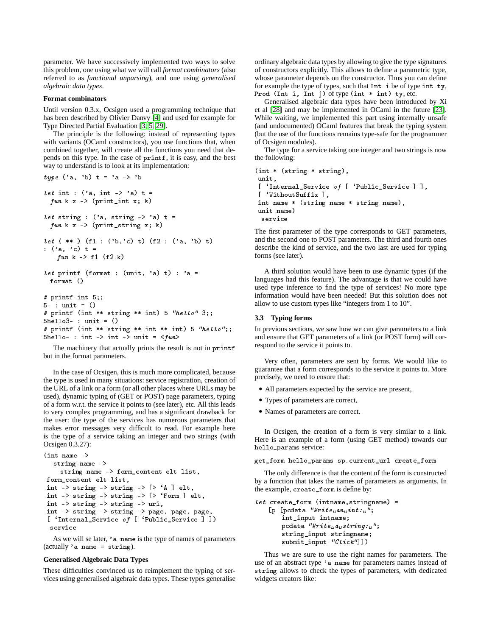parameter. We have successively implemented two ways to solve this problem, one using what we will call *format combinators* (also referred to as *functional unparsing*), and one using *generalised algebraic data types*.

#### **Format combinators**

Until version 0.3.x, Ocsigen used a programming technique that has been described by Olivier Danvy [\[4\]](#page-9-9) and used for example for Type Directed Partial Evaluation [\[3,](#page-9-10) [5,](#page-9-11) [29\]](#page-10-6).

The principle is the following: instead of representing types with variants (OCaml constructors), you use functions that, when combined together, will create all the functions you need that depends on this type. In the case of printf, it is easy, and the best way to understand is to look at its implementation:

```
type ('a, 'b) t = 'a -> 'b
let int : ('a, int -> 'a) t =
 fun k x -> (print-int x; k)let string : ('a, string -> 'a) t =
  fun k x \rightarrow (print\_string x; k)let ( ** ) (f1 : ('b,'c) t) (f2 : ('a, 'b) t)
: ('a, 'c) t =fun k \rightarrow f1 (f2 k)
let printf (format : (unit, 'a) t) : 'a =
 format ()
# printf int 5;;
5- : unit = ()# printf (int ** string ** int) 5 "hello" 3;;
5hello3- : unit = ()
# printf (int ** string ** int ** int) 5 "hello";;
5hello- : int -> int -> unit = \times fun
```
The machinery that actually prints the result is not in printf but in the format parameters.

In the case of Ocsigen, this is much more complicated, because the type is used in many situations: service registration, creation of the URL of a link or a form (or all other places where URLs may be used), dynamic typing of (GET or POST) page parameters, typing of a form w.r.t. the service it points to (see later), etc. All this leads to very complex programming, and has a significant drawback for the user: the type of the services has numerous parameters that makes error messages very difficult to read. For example here is the type of a service taking an integer and two strings (with Ocsigen 0.3.27):

```
(int name ->
  string name ->
    string name -> form_content elt list,
form_content elt list,
int \rightarrow string \rightarrow string \rightarrow [> 'A ] elt,
int -> string -> string -> [> `Form ] elt,
int -> string -> string -> uri,
int -> string -> string -> page, page, page,
[ 'Internal_Service of [ 'Public_Service ] ])
 service
```
As we will se later, 'a name is the type of names of parameters (actually 'a name = string).

## **Generalised Algebraic Data Types**

These difficulties convinced us to reimplement the typing of services using generalised algebraic data types. These types generalise ordinary algebraic data types by allowing to give the type signatures of constructors explicitly. This allows to define a parametric type, whose parameter depends on the constructor. Thus you can define for example the type of types, such that Int i be of type int ty, Prod (Int i, Int j) of type (int \* int) ty, etc.

Generalised algebraic data types have been introduced by Xi et al [\[28\]](#page-10-7) and may be implemented in OCaml in the future [\[23\]](#page-10-8). While waiting, we implemented this part using internally unsafe (and undocumented) OCaml features that break the typing system (but the use of the functions remains type-safe for the programmer of Ocsigen modules).

The type for a service taking one integer and two strings is now the following:

```
(int * (string * string),
unit,
[ `Internal_Service of [ `Public_Service ] ],
[ `WithoutSuffix ],
int name * (string name * string name),
unit name)
 service
```
The first parameter of the type corresponds to GET parameters, and the second one to POST parameters. The third and fourth ones describe the kind of service, and the two last are used for typing forms (see later).

A third solution would have been to use dynamic types (if the languages had this feature). The advantage is that we could have used type inference to find the type of services! No more type information would have been needed! But this solution does not allow to use custom types like "integers from 1 to 10".

## **3.3 Typing forms**

In previous sections, we saw how we can give parameters to a link and ensure that GET parameters of a link (or POST form) will correspond to the service it points to.

Very often, parameters are sent by forms. We would like to guarantee that a form corresponds to the service it points to. More precisely, we need to ensure that:

- All parameters expected by the service are present,
- Types of parameters are correct,
- Names of parameters are correct.

In Ocsigen, the creation of a form is very similar to a link. Here is an example of a form (using GET method) towards our hello\_params service:

get\_form hello\_params sp.current\_url create\_form

The only difference is that the content of the form is constructed by a function that takes the names of parameters as arguments. In the example, create\_form is define by:

```
let create_form (intname,stringname) =
    [p [pcdata "Write<sub>L'</sub>an<sub>L'</sub>int:<sub>L'</sub>";
         int_input intname;
         pcdata "Write<sub>ua</sub> string: ";
         string_input stringname;
         submit_input "Click"]])
```
Thus we are sure to use the right names for parameters. The use of an abstract type 'a name for parameters names instead of string allows to check the types of parameters, with dedicated widgets creators like: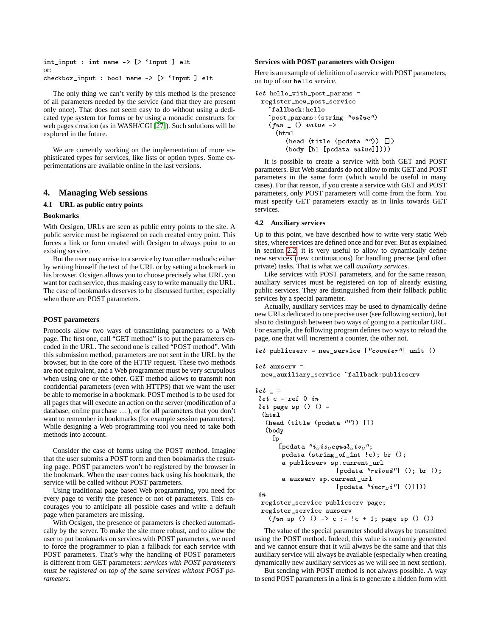```
int_input : int name -> [> `Input ] elt
or:
checkbox_input : bool name -> [> `Input ] elt
```
The only thing we can't verify by this method is the presence of all parameters needed by the service (and that they are present only once). That does not seem easy to do without using a dedicated type system for forms or by using a monadic constructs for web pages creation (as in WASH/CGI [\[27\]](#page-10-9)). Such solutions will be explored in the future.

We are currently working on the implementation of more sophisticated types for services, like lists or option types. Some experimentations are available online in the last versions.

## <span id="page-5-0"></span>**4. Managing Web sessions**

## **4.1 URL as public entry points**

## **Bookmarks**

With Ocsigen, URLs are seen as public entry points to the site. A public service must be registered on each created entry point. This forces a link or form created with Ocsigen to always point to an existing service.

But the user may arrive to a service by two other methods: either by writing himself the text of the URL or by setting a bookmark in his browser. Ocsigen allows you to choose precisely what URL you want for each service, thus making easy to write manually the URL. The case of bookmarks deserves to be discussed further, especially when there are POST parameters.

#### **POST parameters**

Protocols allow two ways of transmitting parameters to a Web page. The first one, call "GET method" is to put the parameters encoded in the URL. The second one is called "POST method". With this submission method, parameters are not sent in the URL by the browser, but in the core of the HTTP request. These two methods are not equivalent, and a Web programmer must be very scrupulous when using one or the other. GET method allows to transmit non confidential parameters (even with HTTPS) that we want the user be able to memorise in a bookmark. POST method is to be used for all pages that will execute an action on the server (modification of a database, online purchase . . . ), or for all parameters that you don't want to remember in bookmarks (for example session parameters). While designing a Web programming tool you need to take both methods into account.

Consider the case of forms using the POST method. Imagine that the user submits a POST form and then bookmarks the resulting page. POST parameters won't be registered by the browser in the bookmark. When the user comes back using his bookmark, the service will be called without POST parameters.

Using traditional page based Web programming, you need for every page to verify the presence or not of parameters. This encourages you to anticipate all possible cases and write a default page when parameters are missing.

With Ocsigen, the presence of parameters is checked automatically by the server. To make the site more robust, and to allow the user to put bookmarks on services with POST parameters, we need to force the programmer to plan a fallback for each service with POST parameters. That's why the handling of POST parameters is different from GET parameters: *services with POST parameters must be registered on top of the same services without POST parameters*.

## **Services with POST parameters with Ocsigen**

Here is an example of definition of a service with POST parameters, on top of our hello service.

```
\verb|let hello_with/post-params| =register_new_post_service
    ~fallback:hello
    ~post_params:(string "value")
    (fun \t () value \rightarrow(html
         (head (title (pcdata "")) [])
         (body [h1 [pcdata value]])))
```
It is possible to create a service with both GET and POST parameters. But Web standards do not allow to mix GET and POST parameters in the same form (which would be useful in many cases). For that reason, if you create a service with GET and POST parameters, only POST parameters will come from the form. You must specify GET parameters exactly as in links towards GET services.

#### **4.2 Auxiliary services**

Up to this point, we have described how to write very static Web sites, where services are defined once and for ever. But as explained in section [2.2,](#page-2-0) it is very useful to allow to dynamically define new services (new continuations) for handling precise (and often private) tasks. That is what we call *auxiliary services*.

Like services with POST parameters, and for the same reason, auxiliary services must be registered on top of already existing public services. They are distinguished from their fallback public services by a special parameter.

Actually, auxiliary services may be used to dynamically define new URLs dedicated to one precise user (see following section), but also to distinguish between two ways of going to a particular URL. For example, the following program defines two ways to reload the page, one that will increment a counter, the other not.

```
let publicserv = new_service ["counter"] unit ()
```

```
let auxserv =
 new_auxiliary_service ~fallback:publicserv
let =let c = ref 0 inlet page sp () () =
  (html
   (head (title (pcdata "")) [])
   (body
     [p][pcdata "i<sub>U</sub> i s<sub>U</sub> e qual<sub>U</sub> t o<sub>U</sub>";pcdata (string_of_int !c); br ();
        a publicserv sp.current_url
                        [pcdata "reload"] (); br ();
        a auxserv sp.current_url
                        [pcdata "incr_{\mu}i"] ()]]))
 in
 register_service publicserv page;
 register_service auxserv
    (fun sp()() \rightarrow c := !c + 1; page sp()())
```
The value of the special parameter should always be transmitted using the POST method. Indeed, this value is randomly generated and we cannot ensure that it will always be the same and that this auxiliary service will always be available (especially when creating dynamically new auxiliary services as we will see in next section).

But sending with POST method is not always possible. A way to send POST parameters in a link is to generate a hidden form with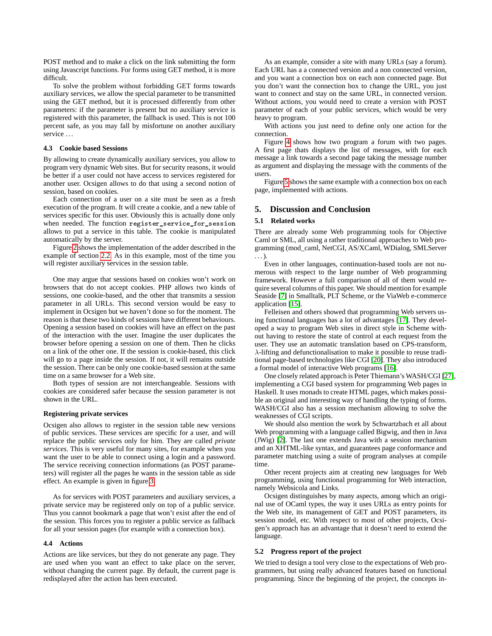POST method and to make a click on the link submitting the form using Javascript functions. For forms using GET method, it is more difficult.

To solve the problem without forbidding GET forms towards auxiliary services, we allow the special parameter to be transmitted using the GET method, but it is processed differently from other parameters: if the parameter is present but no auxiliary service is registered with this parameter, the fallback is used. This is not 100 percent safe, as you may fall by misfortune on another auxiliary service . . .

## **4.3 Cookie based Sessions**

By allowing to create dynamically auxiliary services, you allow to program very dynamic Web sites. But for security reasons, it would be better if a user could not have access to services registered for another user. Ocsigen allows to do that using a second notion of session, based on cookies.

Each connection of a user on a site must be seen as a fresh execution of the program. It will create a cookie, and a new table of services specific for this user. Obviously this is actually done only when needed. The function register\_service\_for\_session allows to put a service in this table. The cookie is manipulated automatically by the server.

Figure [2](#page-7-0) shows the implementation of the adder described in the example of section [2.2.](#page-2-0) As in this example, most of the time you will register auxiliary services in the session table.

One may argue that sessions based on cookies won't work on browsers that do not accept cookies. PHP allows two kinds of sessions, one cookie-based, and the other that transmits a session parameter in all URLs. This second version would be easy to implement in Ocsigen but we haven't done so for the moment. The reason is that these two kinds of sessions have different behaviours. Opening a session based on cookies will have an effect on the past of the interaction with the user. Imagine the user duplicates the browser before opening a session on one of them. Then he clicks on a link of the other one. If the session is cookie-based, this click will go to a page inside the session. If not, it will remains outside the session. There can be only one cookie-based session at the same time on a same browser for a Web site.

Both types of session are not interchangeable. Sessions with cookies are considered safer because the session parameter is not shown in the URL.

#### **Registering private services**

Ocsigen also allows to register in the session table new versions of public services. These services are specific for a user, and will replace the public services only for him. They are called *private services*. This is very useful for many sites, for example when you want the user to be able to connect using a login and a password. The service receiving connection informations (as POST parameters) will register all the pages he wants in the session table as side effect. An example is given in figure [3.](#page-8-0)

As for services with POST parameters and auxiliary services, a private service may be registered only on top of a public service. Thus you cannot bookmark a page that won't exist after the end of the session. This forces you to register a public service as fallback for all your session pages (for example with a connection box).

## **4.4 Actions**

Actions are like services, but they do not generate any page. They are used when you want an effect to take place on the server, without changing the current page. By default, the current page is redisplayed after the action has been executed.

As an example, consider a site with many URLs (say a forum). Each URL has a a connected version and a non connected version, and you want a connection box on each non connected page. But you don't want the connection box to change the URL, you just want to connect and stay on the same URL, in connected version. Without actions, you would need to create a version with POST parameter of each of your public services, which would be very heavy to program.

With actions you just need to define only one action for the connection.

Figure [4](#page-8-1) shows how two program a forum with two pages. A first page thats displays the list of messages, with for each message a link towards a second page taking the message number as argument and displaying the message with the comments of the users.

Figure [5](#page-9-12) shows the same example with a connection box on each page, implemented with actions.

## **5. Discussion and Conclusion**

## **5.1 Related works**

There are already some Web programming tools for Objective Caml or SML, all using a rather traditional approaches to Web programming (mod\_caml, NetCGI, AS/XCaml, WDialog, SMLServer  $\ldots$ ).

Even in other languages, continuation-based tools are not numerous with respect to the large number of Web programming framework. However a full comparison of all of them would require several columns of this paper. We should mention for example Seaside [\[7\]](#page-9-13) in Smalltalk, PLT Scheme, or the ViaWeb e-commerce application [\[15\]](#page-9-14).

Felleisen and others showed that programming Web servers using functional languages has a lot of advantages [\[17\]](#page-9-15). They developed a way to program Web sites in direct style in Scheme without having to restore the state of control at each request from the user. They use an automatic translation based on CPS-transform, λ-lifting and defunctionalisation to make it possible to reuse traditional page-based technologies like CGI [\[20\]](#page-10-10). They also introduced a formal model of interactive Web programs [\[16\]](#page-9-0).

One closely related approach is Peter Thiemann's WASH/CGI [\[27\]](#page-10-9), implementing a CGI based system for programming Web pages in Haskell. It uses monads to create HTML pages, which makes possible an original and interesting way of handling the typing of forms. WASH/CGI also has a session mechanism allowing to solve the weaknesses of CGI scripts.

We should also mention the work by Schwartzbach et all about Web programming with a language called Bigwig, and then in Java (JWig) [\[2\]](#page-9-16). The last one extends Java with a session mechanism and an XHTML-like syntax, and guarantees page conformance and parameter matching using a suite of program analyses at compile time.

Other recent projects aim at creating new languages for Web programming, using functional programming for Web interaction, namely Websicola and Links.

Ocsigen distinguishes by many aspects, among which an original use of OCaml types, the way it uses URLs as entry points for the Web site, its management of GET and POST parameters, its session model, etc. With respect to most of other projects, Ocsigen's approach has an advantage that it doesn't need to extend the language.

#### **5.2 Progress report of the project**

We tried to design a tool very close to the expectations of Web programmers, but using really advanced features based on functional programming. Since the beginning of the project, the concepts in-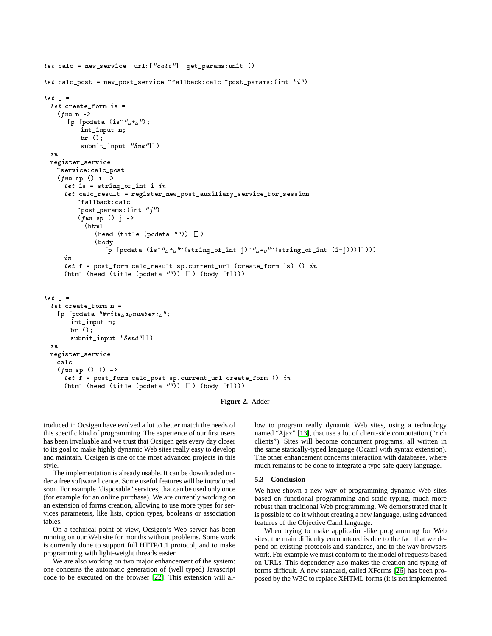```
let calc = new_service "url:["calc"] "get_params:unit()let calc_post = new_post_service "fallback:calc "post_params: (int "i")
let =let create_form is =
    (fun n -[p [pcdata (is<sup>\sim</sup>"_{II}+_{II}");
           int_input n;
           br ();
           submit_input "Sum"]])
  in
 register_service
     service:calc_post
    (\text{fun sp }() i \rightarrowlet is = string_of_int i inlet calc_result = register_new_post_auxiliary_service_for_session
          ~fallback:calc
          \tilde{p}post_params: (int "j")
          (fun sp() j \rightarrow(html
               (head (title (pcdata "")) [])
               (body
                  [p [pcdata (is<sup>\sim u_{\mu} + u'' (string_of_int j)\sim u_{\mu} = u'' (string_of_int (i+j)))]])))</sup>
      in
      let f = post-form calc\_result sp.current_url (create_form is) () in
      (html (head (title (pcdata "")) []) (body [f])))
let =let create_form n =[p [pcdata "Write<sub>u</sub> a<sub>u</sub> number: ";
        int_input n;
       br ();
        submit_input "Send"]])
  in
 register_service
    calc
    (fun sp()() \rightarrowlet f = post_{form} calc_{post} sp.current_url create_form () in
      (html (head (title (pcdata "")) []) (body [f])))
```
**Figure 2.** Adder

troduced in Ocsigen have evolved a lot to better match the needs of this specific kind of programming. The experience of our first users has been invaluable and we trust that Ocsigen gets every day closer to its goal to make highly dynamic Web sites really easy to develop and maintain. Ocsigen is one of the most advanced projects in this style.

The implementation is already usable. It can be downloaded under a free software licence. Some useful features will be introduced soon. For example "disposable" services, that can be used only once (for example for an online purchase). We are currently working on an extension of forms creation, allowing to use more types for services parameters, like lists, option types, booleans or association tables.

On a technical point of view, Ocsigen's Web server has been running on our Web site for months without problems. Some work is currently done to support full HTTP/1.1 protocol, and to make programming with light-weight threads easier.

We are also working on two major enhancement of the system: one concerns the automatic generation of (well typed) Javascript code to be executed on the browser [\[22\]](#page-10-11). This extension will al<span id="page-7-0"></span>low to program really dynamic Web sites, using a technology named "Ajax" [\[13\]](#page-9-17), that use a lot of client-side computation ("rich clients"). Sites will become concurrent programs, all written in the same statically-typed language (Ocaml with syntax extension). The other enhancement concerns interaction with databases, where much remains to be done to integrate a type safe query language.

## **5.3 Conclusion**

We have shown a new way of programming dynamic Web sites based on functional programming and static typing, much more robust than traditional Web programming. We demonstrated that it is possible to do it without creating a new language, using advanced features of the Objective Caml language.

When trying to make application-like programming for Web sites, the main difficulty encountered is due to the fact that we depend on existing protocols and standards, and to the way browsers work. For example we must conform to the model of requests based on URLs. This dependency also makes the creation and typing of forms difficult. A new standard, called XForms [\[26\]](#page-10-5) has been proposed by the W3C to replace XHTML forms (it is not implemented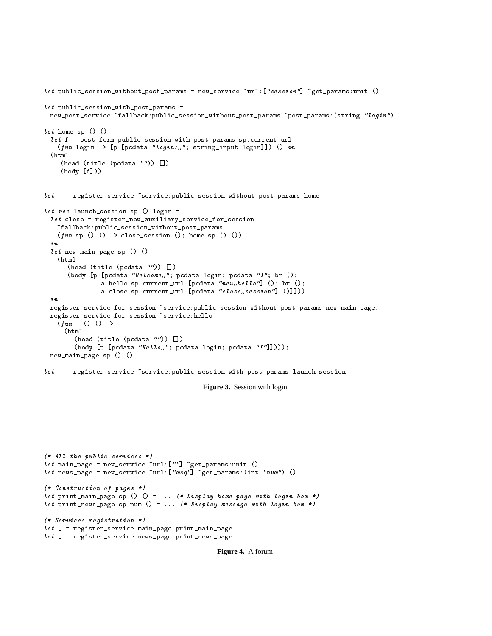```
let public_session_without_post_params = new_service "url:['session"] "get_params:unit()let public_session_with_post_params =
 new_post_service ~fallback:public_session_without_post_params ~post_params:(string "login")
let home sp () () =
 let f = post_form public_session_with_post_params sp.current_url
   (fun login \rightarrow [p [pcdata "login: "; string_input login]]) () in
 (html
    (head (title (pcdata "")) [])
    (body [f]))
let _ = register_service ~service:public_session_without_post_params home
let rec launch_session sp () login =
 let close = register_new_auxiliary_service_for_session
   ~fallback:public_session_without_post_params
   (fun sp()() \rightarrow close\_session(); home sp()())in
 let new_main_page sp () () =
   (html
       (head (title (pcdata "")) [])
       (body [p \; [p]rdata "Welcome<sub>u</sub>"; pcdata login; pcdata "!"; br ();
                a hello sp.current_url [pcdata "new<sub>u</sub>hello"] (); br ();
                a close sp.current_url [\text{pcdata} "close<sub>u</sub> session"] ()]]))
 in
 register_service_for_session ~service:public_session_without_post_params new_main_page;
 register_service_for_session ~service:hello
   (fun ( ) ) ( ) \rightarrow(html
        (head (title (pcdata "")) [])
        (body [p [pcdata "Hello<sub>u</sub>"; pcdata login; pcdata "!"]])));
 new_main_page sp () ()
let _ = register_service ~service:public_session_with_post_params launch_session
```

```
Figure 3. Session with login
```

```
(* All the public services *)
let main_page = new_service ~url:[""] ~get_params:unit ()
let news_page = new_service \text{``url:}['msg''] \text{``get\_params:} (int \text{ ``num''}) ()
(* Construction of pages *)
Let print_main_page sp () () = ... (* Display home page with login box *)
let print_news_page sp num () = ... (*) Display message with login box *)(* Services registration *)
let _ = register_service main_page print_main_page
let = register_service news_page print_news_page
```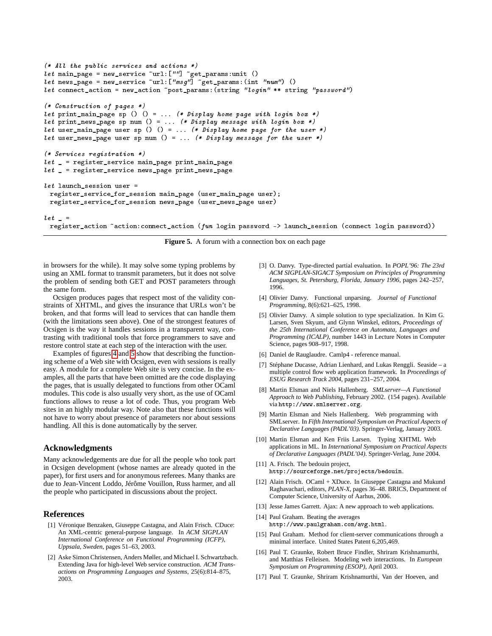```
(* All the public services and actions *)
let main_page = new_service ~url:[""] ~get_params:unit ()
let news_page = new_service \text{curl}: ["msg"] \text{°get\_params}: (int "num") ()
let connect_action = new_action ~post_params: (string "login" ** string "password")
(* Construction of pages *)
let print_main_page sp () () = ... (*) Display home page with login box *)
let print_news_page sp num () = ... (*) Display message with login box *)
let user_main_page user sp () () = ... (*) Display home page for the user *)let user_news_page user sp num () = ... (*) Display message for the user *)(* Services registration *)
let = register_service main_page print_main_page
let _ = register_service news_page print_news_page
let launch_session user =
 register_service_for_session main_page (user_main_page user);
 register_service_for_session news_page (user_news_page user)
let =register_action ~action:connect_action (fun login password -> launch_session (connect login password))
```
<span id="page-9-12"></span>**Figure 5.** A forum with a connection box on each page

in browsers for the while). It may solve some typing problems by using an XML format to transmit parameters, but it does not solve the problem of sending both GET and POST parameters through the same form.

Ocsigen produces pages that respect most of the validity constraints of XHTML, and gives the insurance that URLs won't be broken, and that forms will lead to services that can handle them (with the limitations seen above). One of the strongest features of Ocsigen is the way it handles sessions in a transparent way, contrasting with traditional tools that force programmers to save and restore control state at each step of the interaction with the user.

Examples of figures [4](#page-8-1) and [5](#page-9-12) show that describing the functioning scheme of a Web site with Ocsigen, even with sessions is really easy. A module for a complete Web site is very concise. In the examples, all the parts that have been omitted are the code displaying the pages, that is usually delegated to functions from other OCaml modules. This code is also usually very short, as the use of OCaml functions allows to reuse a lot of code. Thus, you program Web sites in an highly modular way. Note also that these functions will not have to worry about presence of parameters nor about sessions handling. All this is done automatically by the server.

## **Acknowledgments**

Many acknowledgements are due for all the people who took part in Ocsigen development (whose names are already quoted in the paper), for first users and for anonymous referees. Many thanks are due to Jean-Vincent Loddo, Jérôme Vouillon, Russ harmer, and all the people who participated in discussions about the project.

## **References**

- <span id="page-9-2"></span>[1] Véronique Benzaken, Giuseppe Castagna, and Alain Frisch. CDuce: An XML-centric general-purpose language. In *ACM SIGPLAN International Conference on Functional Programming (ICFP), Uppsala, Sweden*, pages 51–63, 2003.
- <span id="page-9-16"></span>[2] Aske Simon Christensen, Anders Møller, and Michael I. Schwartzbach. Extending Java for high-level Web service construction. *ACM Transactions on Programming Languages and Systems*, 25(6):814–875, 2003.
- <span id="page-9-10"></span>[3] O. Danvy. Type-directed partial evaluation. In *POPL'96: The 23rd ACM SIGPLAN-SIGACT Symposium on Principles of Programming Languages, St. Petersburg, Florida, January 1996*, pages 242–257, 1996.
- <span id="page-9-9"></span>[4] Olivier Danvy. Functional unparsing. *Journal of Functional Programming*, 8(6):621–625, 1998.
- <span id="page-9-11"></span>[5] Olivier Danvy. A simple solution to type specialization. In Kim G. Larsen, Sven Skyum, and Glynn Winskel, editors, *Proceedings of the 25th International Conference on Automata, Languages and Programming (ICALP)*, number 1443 in Lecture Notes in Computer Science, pages 908–917, 1998.
- <span id="page-9-5"></span>[6] Daniel de Rauglaudre. Camlp4 - reference manual.
- <span id="page-9-13"></span>[7] Stéphane Ducasse, Adrian Lienhard, and Lukas Renggli. Seaside – a multiple control flow web application framework. In *Proceedings of ESUG Research Track 2004*, pages 231–257, 2004.
- <span id="page-9-7"></span>[8] Martin Elsman and Niels Hallenberg. *SMLserver—A Functional Approach to Web Publishing*, February 2002. (154 pages). Available via http://www.smlserver.org.
- <span id="page-9-6"></span>[9] Martin Elsman and Niels Hallenberg. Web programming with SMLserver. In *Fifth International Symposium on Practical Aspects of Declarative Languages (PADL'03)*. Springer-Verlag, January 2003.
- <span id="page-9-8"></span>[10] Martin Elsman and Ken Friis Larsen. Typing XHTML Web applications in ML. In *International Symposium on Practical Aspects of Declarative Languages (PADL'04)*. Springer-Verlag, June 2004.
- <span id="page-9-4"></span>[11] A. Frisch. The bedouin project, http://sourceforge.net/projects/bedouin.
- <span id="page-9-3"></span>[12] Alain Frisch. OCaml + XDuce. In Giuseppe Castagna and Mukund Raghavachari, editors, *PLAN-X*, pages 36–48. BRICS, Department of Computer Science, University of Aarhus, 2006.
- <span id="page-9-17"></span>[13] Jesse James Garrett. Ajax: A new approach to web applications.
- <span id="page-9-1"></span>[14] Paul Graham. Beating the averages http://www.paulgraham.com/avg.html.
- <span id="page-9-14"></span>[15] Paul Graham. Method for client-server communications through a minimal interface. United States Patent 6,205,469.
- <span id="page-9-0"></span>[16] Paul T. Graunke, Robert Bruce Findler, Shriram Krishnamurthi, and Matthias Felleisen. Modeling web interactions. In *European Symposium on Programming (ESOP)*, April 2003.
- <span id="page-9-15"></span>[17] Paul T. Graunke, Shriram Krishnamurthi, Van der Hoeven, and